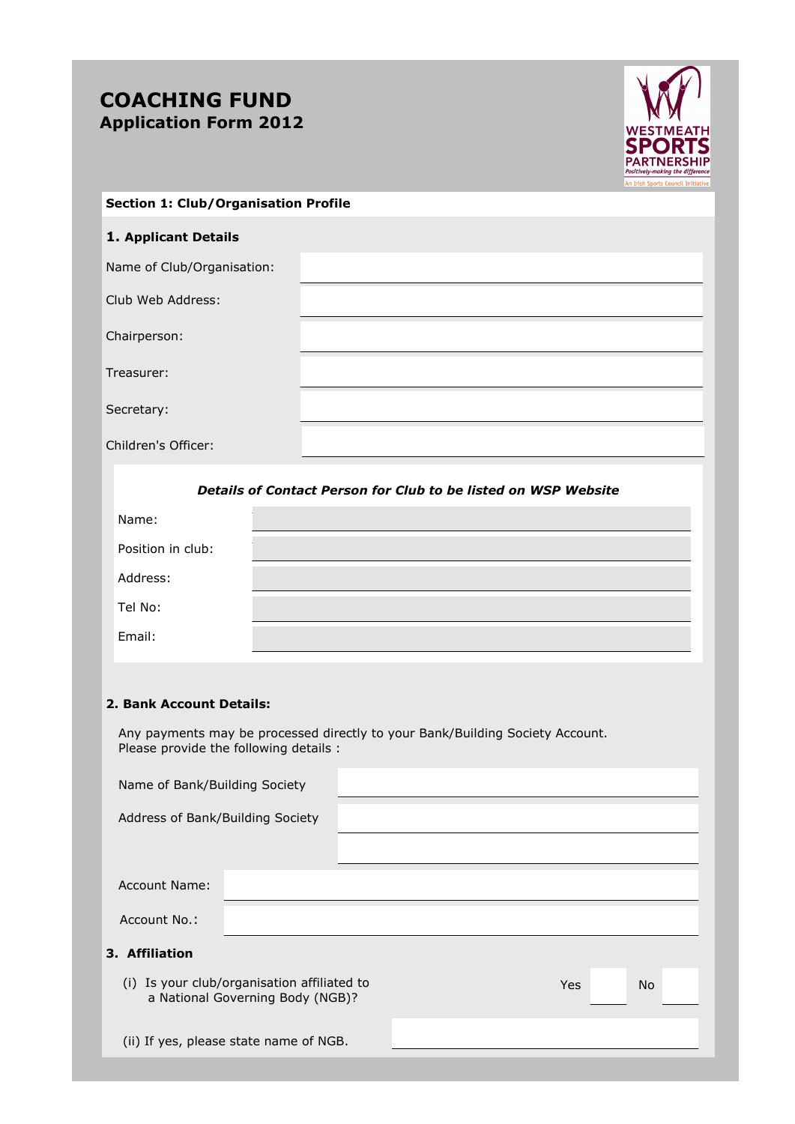# **COACHING FUND Application Form 2012**



### **Section 1: Club/Organisation Profile**

# **1. Applicant Details**

Name of Club/Organisation:

Club Web Address:

Chairperson:

Treasurer:

Secretary:

Children's Officer:

*Details of Contact Person for Club to be listed on WSP Website*

| Name:             |  |
|-------------------|--|
| Position in club: |  |
| Address:          |  |
| Tel No:           |  |
| Email:            |  |

#### **2. Bank Account Details:**

 Any payments may be processed directly to your Bank/Building Society Account. Please provide the following details :

| Name of Bank/Building Society                                                   |  |            |           |  |
|---------------------------------------------------------------------------------|--|------------|-----------|--|
| Address of Bank/Building Society                                                |  |            |           |  |
|                                                                                 |  |            |           |  |
| <b>Account Name:</b>                                                            |  |            |           |  |
| Account No.:                                                                    |  |            |           |  |
| 3. Affiliation                                                                  |  |            |           |  |
| (i) Is your club/organisation affiliated to<br>a National Governing Body (NGB)? |  | <b>Yes</b> | <b>No</b> |  |
| (ii) If yes, please state name of NGB.                                          |  |            |           |  |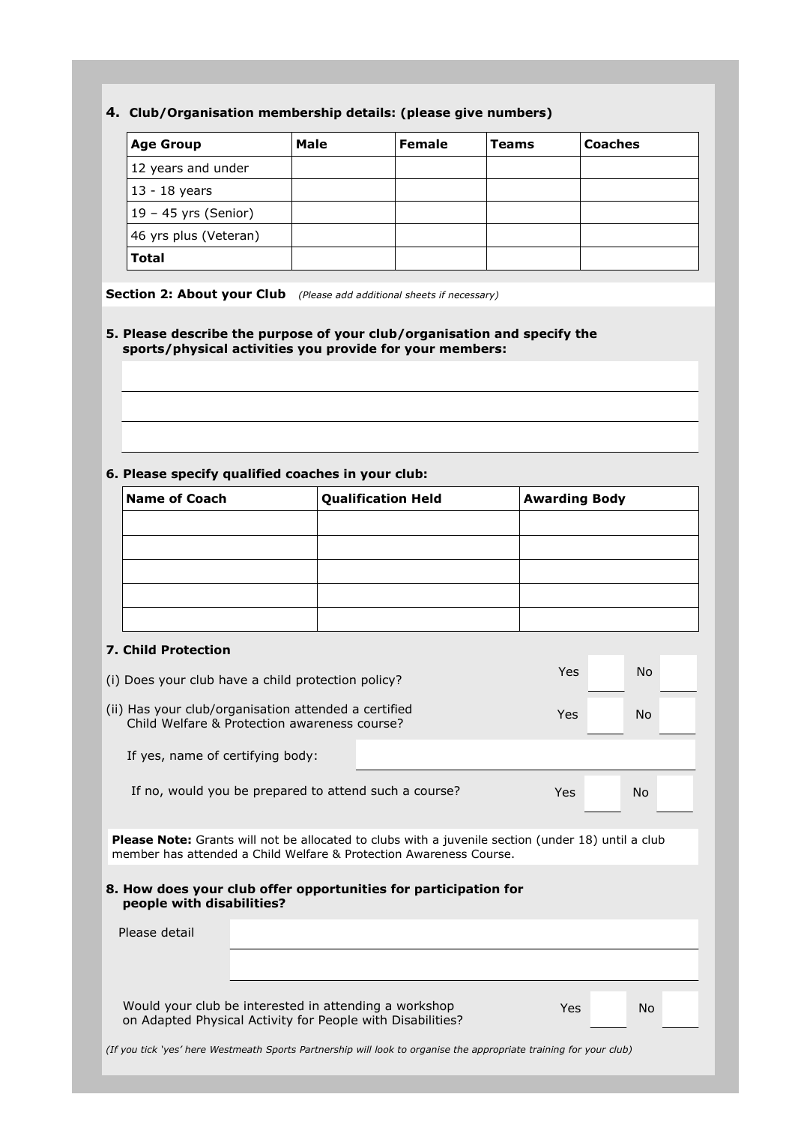# **4. Club/Organisation membership details: (please give numbers)**

| <b>Age Group</b>       | Male | <b>Female</b> | Teams | <b>Coaches</b> |
|------------------------|------|---------------|-------|----------------|
| 12 years and under     |      |               |       |                |
| $13 - 18$ years        |      |               |       |                |
| $19 - 45$ yrs (Senior) |      |               |       |                |
| 46 yrs plus (Veteran)  |      |               |       |                |
| <b>Total</b>           |      |               |       |                |

**Section 2: About your Club** *(Please add additional sheets if necessary)*

## **5. Please describe the purpose of your club/organisation and specify the sports/physical activities you provide for your members:**

# **6. Please specify qualified coaches in your club:**

| <b>Name of Coach</b><br><b>Qualification Held</b><br><b>Awarding Body</b> |  |  |  |  |  |
|---------------------------------------------------------------------------|--|--|--|--|--|
|                                                                           |  |  |  |  |  |
|                                                                           |  |  |  |  |  |
|                                                                           |  |  |  |  |  |
|                                                                           |  |  |  |  |  |
|                                                                           |  |  |  |  |  |
|                                                                           |  |  |  |  |  |
|                                                                           |  |  |  |  |  |

#### **7. Child Protection**

| (i) Does your club have a child protection policy?                                                   | Yes | No |  |
|------------------------------------------------------------------------------------------------------|-----|----|--|
| (ii) Has your club/organisation attended a certified<br>Child Welfare & Protection awareness course? | Yes | No |  |
| If yes, name of certifying body:                                                                     |     |    |  |
| If no, would you be prepared to attend such a course?                                                | Yes | No |  |

**Please Note:** Grants will not be allocated to clubs with a juvenile section (under 18) until a club member has attended a Child Welfare & Protection Awareness Course.

|                           | 8. How does your club offer opportunities for participation for |
|---------------------------|-----------------------------------------------------------------|
| people with disabilities? |                                                                 |

| people with disabilities? |                                                                                                                            |    |  |
|---------------------------|----------------------------------------------------------------------------------------------------------------------------|----|--|
| Please detail             |                                                                                                                            |    |  |
|                           |                                                                                                                            |    |  |
|                           | Would your club be interested in attending a workshop<br>Yes<br>on Adapted Physical Activity for People with Disabilities? | No |  |
|                           | (If you tick 'yes' here Westmeath Sports Partnership will look to organise the appropriate training for your club)         |    |  |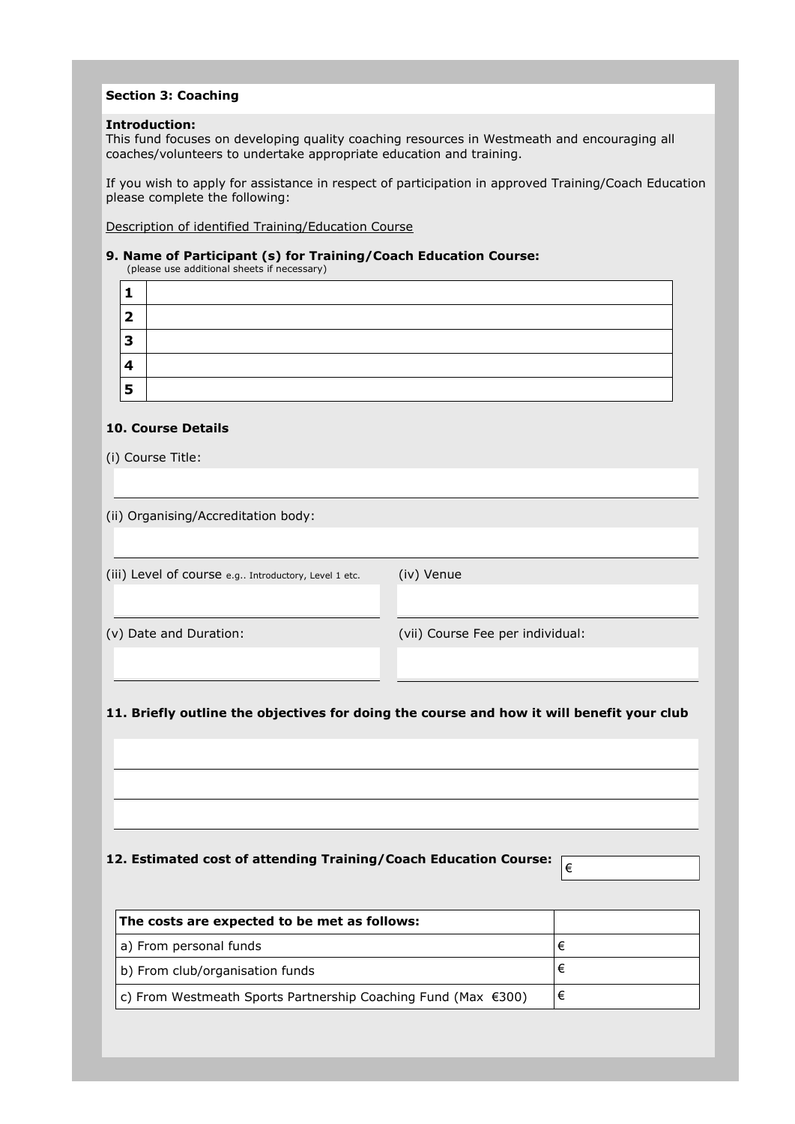## **Section 3: Coaching**

#### **Introduction:**

This fund focuses on developing quality coaching resources in Westmeath and encouraging all coaches/volunteers to undertake appropriate education and training.

If you wish to apply for assistance in respect of participation in approved Training/Coach Education please complete the following:

Description of identified Training/Education Course

# **9. Name of Participant (s) for Training/Coach Education Course:**

| (please use additional sheets if necessary) |  |
|---------------------------------------------|--|
|---------------------------------------------|--|

| ר |  |
|---|--|
| 3 |  |
| 4 |  |
| 5 |  |

### **10. Course Details**

(i) Course Title:

(ii) Organising/Accreditation body:

(iii) Level of course e.g.. Introductory, Level 1 etc. (iv) Venue

(v) Date and Duration: (vii) Course Fee per individual:

€

### **11. Briefly outline the objectives for doing the course and how it will benefit your club**

### **12. Estimated cost of attending Training/Coach Education Course:**

| The costs are expected to be met as follows:                  |   |
|---------------------------------------------------------------|---|
| a) From personal funds                                        |   |
| b) From club/organisation funds                               |   |
| c) From Westmeath Sports Partnership Coaching Fund (Max €300) | € |